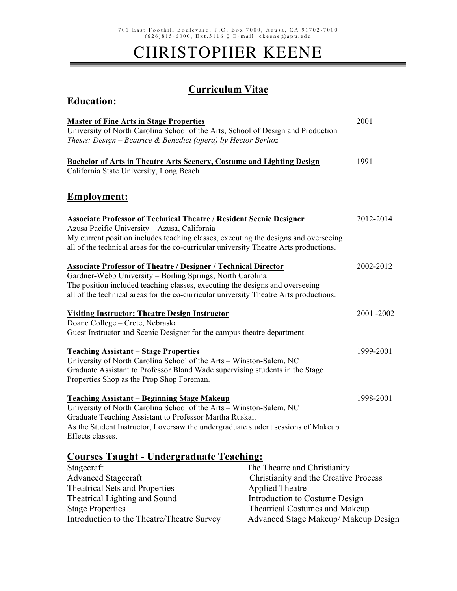### **Curriculum Vitae**

### **Education:**

| <b>Bachelor of Arts in Theatre Arts Scenery, Costume and Lighting Design</b>                                                                                                                                                                                                                                |                                                                                                                                                                                                                                             |
|-------------------------------------------------------------------------------------------------------------------------------------------------------------------------------------------------------------------------------------------------------------------------------------------------------------|---------------------------------------------------------------------------------------------------------------------------------------------------------------------------------------------------------------------------------------------|
|                                                                                                                                                                                                                                                                                                             | 1991                                                                                                                                                                                                                                        |
|                                                                                                                                                                                                                                                                                                             |                                                                                                                                                                                                                                             |
| <b>Associate Professor of Technical Theatre / Resident Scenic Designer</b><br>My current position includes teaching classes, executing the designs and overseeing<br>all of the technical areas for the co-curricular university Theatre Arts productions.                                                  | 2012-2014                                                                                                                                                                                                                                   |
| <b>Associate Professor of Theatre / Designer / Technical Director</b><br>Gardner-Webb University - Boiling Springs, North Carolina<br>The position included teaching classes, executing the designs and overseeing<br>all of the technical areas for the co-curricular university Theatre Arts productions. | 2002-2012                                                                                                                                                                                                                                   |
| Guest Instructor and Scenic Designer for the campus theatre department.                                                                                                                                                                                                                                     | 2001-2002                                                                                                                                                                                                                                   |
| University of North Carolina School of the Arts - Winston-Salem, NC<br>Graduate Assistant to Professor Bland Wade supervising students in the Stage                                                                                                                                                         | 1999-2001                                                                                                                                                                                                                                   |
| University of North Carolina School of the Arts - Winston-Salem, NC<br>Graduate Teaching Assistant to Professor Martha Ruskai.<br>As the Student Instructor, I oversaw the undergraduate student sessions of Makeup                                                                                         | 1998-2001                                                                                                                                                                                                                                   |
|                                                                                                                                                                                                                                                                                                             |                                                                                                                                                                                                                                             |
| <b>Applied Theatre</b>                                                                                                                                                                                                                                                                                      |                                                                                                                                                                                                                                             |
|                                                                                                                                                                                                                                                                                                             | <b>Courses Taught - Undergraduate Teaching:</b><br>The Theatre and Christianity<br>Christianity and the Creative Process<br>Introduction to Costume Design<br><b>Theatrical Costumes and Makeup</b><br>Advanced Stage Makeup/ Makeup Design |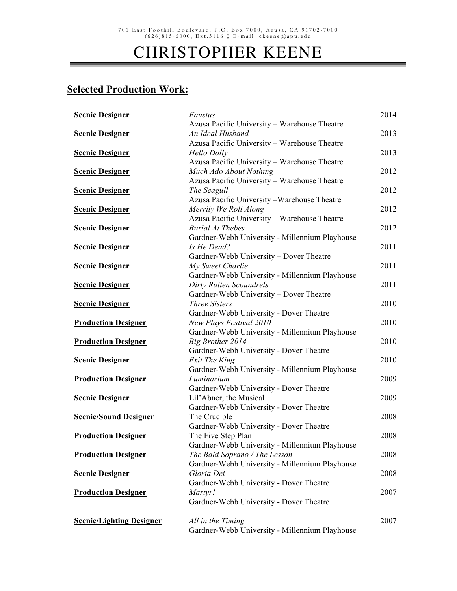### **Selected Production Work:**

| <b>Scenic Designer</b>          | Faustus                                                              | 2014 |
|---------------------------------|----------------------------------------------------------------------|------|
|                                 | Azusa Pacific University - Warehouse Theatre                         |      |
| <b>Scenic Designer</b>          | An Ideal Husband                                                     | 2013 |
|                                 | Azusa Pacific University - Warehouse Theatre                         |      |
| <b>Scenic Designer</b>          | Hello Dolly                                                          | 2013 |
|                                 | Azusa Pacific University - Warehouse Theatre                         |      |
| <b>Scenic Designer</b>          | Much Ado About Nothing                                               | 2012 |
|                                 | Azusa Pacific University - Warehouse Theatre                         |      |
| <b>Scenic Designer</b>          | The Seagull                                                          | 2012 |
|                                 | Azusa Pacific University - Warehouse Theatre                         |      |
| <b>Scenic Designer</b>          | Merrily We Roll Along                                                | 2012 |
|                                 | Azusa Pacific University - Warehouse Theatre                         |      |
| <b>Scenic Designer</b>          | <b>Burial At Thebes</b>                                              | 2012 |
|                                 | Gardner-Webb University - Millennium Playhouse                       | 2011 |
| <b>Scenic Designer</b>          | Is He Dead?                                                          |      |
|                                 | Gardner-Webb University - Dover Theatre                              | 2011 |
| <b>Scenic Designer</b>          | My Sweet Charlie                                                     |      |
|                                 | Gardner-Webb University - Millennium Playhouse                       |      |
| <b>Scenic Designer</b>          | Dirty Rotten Scoundrels                                              | 2011 |
|                                 | Gardner-Webb University - Dover Theatre                              |      |
| <b>Scenic Designer</b>          | <b>Three Sisters</b>                                                 | 2010 |
|                                 | Gardner-Webb University - Dover Theatre                              |      |
| <b>Production Designer</b>      | New Plays Festival 2010                                              | 2010 |
|                                 | Gardner-Webb University - Millennium Playhouse                       |      |
| <b>Production Designer</b>      | Big Brother 2014                                                     | 2010 |
|                                 | Gardner-Webb University - Dover Theatre                              |      |
| <b>Scenic Designer</b>          | Exit The King                                                        | 2010 |
|                                 | Gardner-Webb University - Millennium Playhouse                       |      |
| <b>Production Designer</b>      | Luminarium                                                           | 2009 |
|                                 | Gardner-Webb University - Dover Theatre                              |      |
| <b>Scenic Designer</b>          | Lil'Abner, the Musical                                               | 2009 |
|                                 | Gardner-Webb University - Dover Theatre<br>The Crucible              | 2008 |
| <b>Scenic/Sound Designer</b>    |                                                                      |      |
|                                 | Gardner-Webb University - Dover Theatre                              | 2008 |
| <b>Production Designer</b>      | The Five Step Plan<br>Gardner-Webb University - Millennium Playhouse |      |
| <b>Production Designer</b>      | The Bald Soprano / The Lesson                                        | 2008 |
|                                 | Gardner-Webb University - Millennium Playhouse                       |      |
|                                 | Gloria Dei                                                           |      |
| <b>Scenic Designer</b>          | Gardner-Webb University - Dover Theatre                              | 2008 |
|                                 |                                                                      | 2007 |
| <b>Production Designer</b>      | Martyr!                                                              |      |
|                                 | Gardner-Webb University - Dover Theatre                              |      |
|                                 |                                                                      | 2007 |
| <b>Scenic/Lighting Designer</b> | All in the Timing<br>Gardner-Webb University - Millennium Playhouse  |      |
|                                 |                                                                      |      |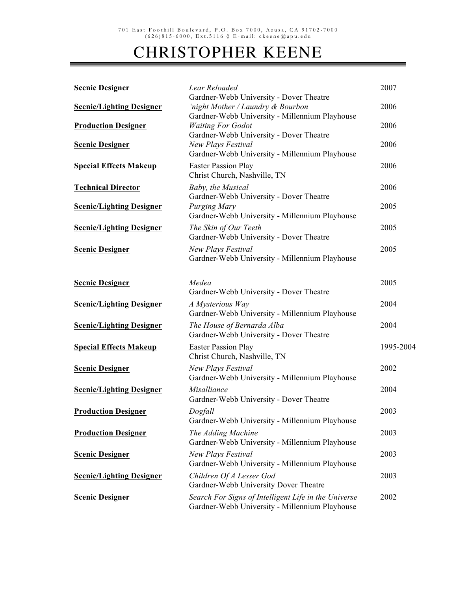| <b>Scenic Designer</b>          | Lear Reloaded                                                                                                                  | 2007      |
|---------------------------------|--------------------------------------------------------------------------------------------------------------------------------|-----------|
| <b>Scenic/Lighting Designer</b> | Gardner-Webb University - Dover Theatre<br>'night Mother / Laundry & Bourbon<br>Gardner-Webb University - Millennium Playhouse | 2006      |
| <b>Production Designer</b>      | <b>Waiting For Godot</b><br>Gardner-Webb University - Dover Theatre                                                            | 2006      |
| <b>Scenic Designer</b>          | New Plays Festival<br>Gardner-Webb University - Millennium Playhouse                                                           | 2006      |
| <b>Special Effects Makeup</b>   | <b>Easter Passion Play</b><br>Christ Church, Nashville, TN                                                                     | 2006      |
| <b>Technical Director</b>       | Baby, the Musical<br>Gardner-Webb University - Dover Theatre                                                                   | 2006      |
| <b>Scenic/Lighting Designer</b> | Purging Mary<br>Gardner-Webb University - Millennium Playhouse                                                                 | 2005      |
| <b>Scenic/Lighting Designer</b> | The Skin of Our Teeth<br>Gardner-Webb University - Dover Theatre                                                               | 2005      |
| <b>Scenic Designer</b>          | New Plays Festival<br>Gardner-Webb University - Millennium Playhouse                                                           | 2005      |
| <b>Scenic Designer</b>          | Medea<br>Gardner-Webb University - Dover Theatre                                                                               | 2005      |
| <b>Scenic/Lighting Designer</b> | A Mysterious Way<br>Gardner-Webb University - Millennium Playhouse                                                             | 2004      |
| <b>Scenic/Lighting Designer</b> | The House of Bernarda Alba<br>Gardner-Webb University - Dover Theatre                                                          | 2004      |
| <b>Special Effects Makeup</b>   | <b>Easter Passion Play</b><br>Christ Church, Nashville, TN                                                                     | 1995-2004 |
| <b>Scenic Designer</b>          | New Plays Festival<br>Gardner-Webb University - Millennium Playhouse                                                           | 2002      |
| <b>Scenic/Lighting Designer</b> | Misalliance<br>Gardner-Webb University - Dover Theatre                                                                         | 2004      |
| <b>Production Designer</b>      | Dogfall<br>Gardner-Webb University - Millennium Playhouse                                                                      | 2003      |
| <b>Production Designer</b>      | The Adding Machine<br>Gardner-Webb University - Millennium Playhouse                                                           | 2003      |
| <b>Scenic Designer</b>          | New Plays Festival<br>Gardner-Webb University - Millennium Playhouse                                                           | 2003      |
| <b>Scenic/Lighting Designer</b> | Children Of A Lesser God<br>Gardner-Webb University Dover Theatre                                                              | 2003      |
| <b>Scenic Designer</b>          | Search For Signs of Intelligent Life in the Universe<br>Gardner-Webb University - Millennium Playhouse                         | 2002      |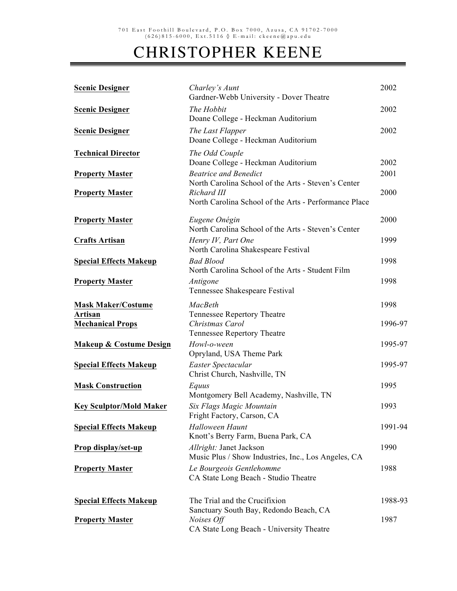| <b>Scenic Designer</b>               | Charley's Aunt<br>Gardner-Webb University - Dover Theatre                                                                   | 2002    |
|--------------------------------------|-----------------------------------------------------------------------------------------------------------------------------|---------|
| <b>Scenic Designer</b>               | The Hobbit<br>Doane College - Heckman Auditorium                                                                            | 2002    |
| <b>Scenic Designer</b>               | The Last Flapper<br>Doane College - Heckman Auditorium                                                                      | 2002    |
| <b>Technical Director</b>            | The Odd Couple<br>Doane College - Heckman Auditorium                                                                        | 2002    |
| <b>Property Master</b>               | <b>Beatrice and Benedict</b>                                                                                                | 2001    |
| <b>Property Master</b>               | North Carolina School of the Arts - Steven's Center<br>Richard III<br>North Carolina School of the Arts - Performance Place | 2000    |
| <b>Property Master</b>               | Eugene Onégin<br>North Carolina School of the Arts - Steven's Center                                                        | 2000    |
| <b>Crafts Artisan</b>                | Henry IV, Part One<br>North Carolina Shakespeare Festival                                                                   | 1999    |
| <b>Special Effects Makeup</b>        | <b>Bad Blood</b><br>North Carolina School of the Arts - Student Film                                                        | 1998    |
| <b>Property Master</b>               | Antigone<br>Tennessee Shakespeare Festival                                                                                  | 1998    |
| <b>Mask Maker/Costume</b><br>Artisan | <b>MacBeth</b><br>Tennessee Repertory Theatre                                                                               | 1998    |
| <b>Mechanical Props</b>              | Christmas Carol<br>Tennessee Repertory Theatre                                                                              | 1996-97 |
| Makeup & Costume Design              | Howl-o-ween<br>Opryland, USA Theme Park                                                                                     | 1995-97 |
| <b>Special Effects Makeup</b>        | Easter Spectacular<br>Christ Church, Nashville, TN                                                                          | 1995-97 |
| <b>Mask Construction</b>             | Equus<br>Montgomery Bell Academy, Nashville, TN                                                                             | 1995    |
| <b>Key Sculptor/Mold Maker</b>       | Six Flags Magic Mountain<br>Fright Factory, Carson, CA                                                                      | 1993    |
| <b>Special Effects Makeup</b>        | Halloween Haunt<br>Knott's Berry Farm, Buena Park, CA                                                                       | 1991-94 |
| Prop display/set-up                  | Allright: Janet Jackson<br>Music Plus / Show Industries, Inc., Los Angeles, CA                                              | 1990    |
| <b>Property Master</b>               | Le Bourgeois Gentlehomme<br>CA State Long Beach - Studio Theatre                                                            | 1988    |
| <b>Special Effects Makeup</b>        | The Trial and the Crucifixion<br>Sanctuary South Bay, Redondo Beach, CA                                                     | 1988-93 |
| <b>Property Master</b>               | Noises Off<br>CA State Long Beach - University Theatre                                                                      | 1987    |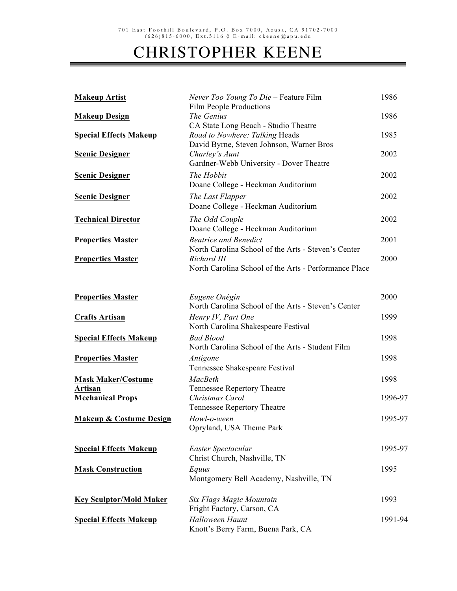| <b>Makeup Artist</b>           | Never Too Young To Die - Feature Film<br>Film People Productions   | 1986    |
|--------------------------------|--------------------------------------------------------------------|---------|
| <b>Makeup Design</b>           | The Genius                                                         | 1986    |
|                                | CA State Long Beach - Studio Theatre                               |         |
| <b>Special Effects Makeup</b>  | Road to Nowhere: Talking Heads                                     | 1985    |
|                                | David Byrne, Steven Johnson, Warner Bros                           |         |
| <b>Scenic Designer</b>         | Charley's Aunt                                                     | 2002    |
|                                | Gardner-Webb University - Dover Theatre                            |         |
| <b>Scenic Designer</b>         | The Hobbit                                                         | 2002    |
|                                | Doane College - Heckman Auditorium                                 |         |
| <b>Scenic Designer</b>         | The Last Flapper                                                   | 2002    |
|                                | Doane College - Heckman Auditorium                                 |         |
| <b>Technical Director</b>      | The Odd Couple                                                     | 2002    |
|                                | Doane College - Heckman Auditorium                                 |         |
|                                |                                                                    |         |
| <b>Properties Master</b>       | <b>Beatrice and Benedict</b>                                       | 2001    |
|                                | North Carolina School of the Arts - Steven's Center<br>Richard III | 2000    |
| <b>Properties Master</b>       | North Carolina School of the Arts - Performance Place              |         |
|                                |                                                                    |         |
| <b>Properties Master</b>       | Eugene Onégin                                                      | 2000    |
|                                | North Carolina School of the Arts - Steven's Center                |         |
| <b>Crafts Artisan</b>          | Henry IV, Part One                                                 | 1999    |
|                                | North Carolina Shakespeare Festival                                |         |
| <b>Special Effects Makeup</b>  | <b>Bad Blood</b>                                                   | 1998    |
|                                | North Carolina School of the Arts - Student Film                   |         |
| <b>Properties Master</b>       | Antigone                                                           | 1998    |
|                                | Tennessee Shakespeare Festival                                     |         |
| <b>Mask Maker/Costume</b>      | <b>MacBeth</b>                                                     | 1998    |
| <b>Artisan</b>                 | Tennessee Repertory Theatre                                        |         |
| <b>Mechanical Props</b>        | Christmas Carol                                                    | 1996-97 |
|                                | Tennessee Repertory Theatre                                        |         |
| Makeup & Costume Design        | Howl-o-ween                                                        | 1995-97 |
|                                | Opryland, USA Theme Park                                           |         |
|                                |                                                                    |         |
| <b>Special Effects Makeup</b>  | Easter Spectacular                                                 | 1995-97 |
|                                | Christ Church, Nashville, TN                                       |         |
|                                |                                                                    |         |
| <b>Mask Construction</b>       | Equus                                                              | 1995    |
|                                | Montgomery Bell Academy, Nashville, TN                             |         |
| <b>Key Sculptor/Mold Maker</b> | Six Flags Magic Mountain                                           | 1993    |
|                                | Fright Factory, Carson, CA                                         |         |
|                                |                                                                    |         |
| <b>Special Effects Makeup</b>  | Halloween Haunt                                                    | 1991-94 |
|                                | Knott's Berry Farm, Buena Park, CA                                 |         |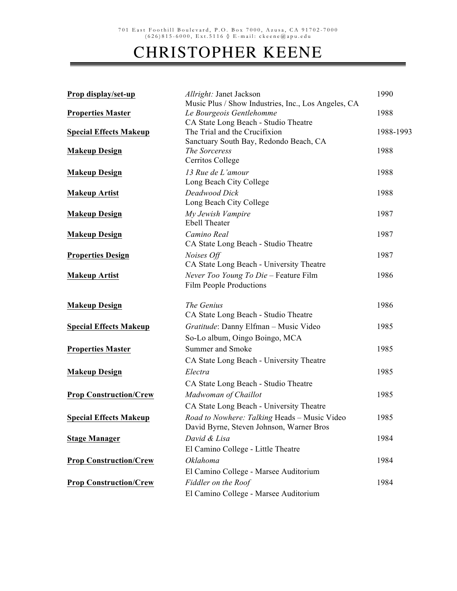| Prop display/set-up           | Allright: Janet Jackson                                                                                         | 1990      |
|-------------------------------|-----------------------------------------------------------------------------------------------------------------|-----------|
| <b>Properties Master</b>      | Music Plus / Show Industries, Inc., Los Angeles, CA<br>Le Bourgeois Gentlehomme                                 | 1988      |
| <b>Special Effects Makeup</b> | CA State Long Beach - Studio Theatre<br>The Trial and the Crucifixion<br>Sanctuary South Bay, Redondo Beach, CA | 1988-1993 |
| <b>Makeup Design</b>          | The Sorceress<br>Cerritos College                                                                               | 1988      |
| <b>Makeup Design</b>          | 13 Rue de L'amour<br>Long Beach City College                                                                    | 1988      |
| <b>Makeup Artist</b>          | Deadwood Dick<br>Long Beach City College                                                                        | 1988      |
| <b>Makeup Design</b>          | My Jewish Vampire<br><b>Ebell Theater</b>                                                                       | 1987      |
| <b>Makeup Design</b>          | Camino Real<br>CA State Long Beach - Studio Theatre                                                             | 1987      |
| <b>Properties Design</b>      | Noises Off<br>CA State Long Beach - University Theatre                                                          | 1987      |
| <b>Makeup Artist</b>          | Never Too Young To Die - Feature Film<br>Film People Productions                                                | 1986      |
| <b>Makeup Design</b>          | The Genius<br>CA State Long Beach - Studio Theatre                                                              | 1986      |
| <b>Special Effects Makeup</b> | Gratitude: Danny Elfman - Music Video<br>So-Lo album, Oingo Boingo, MCA                                         | 1985      |
| <b>Properties Master</b>      | <b>Summer and Smoke</b><br>CA State Long Beach - University Theatre                                             | 1985      |
| <b>Makeup Design</b>          | Electra<br>CA State Long Beach - Studio Theatre                                                                 | 1985      |
| <b>Prop Construction/Crew</b> | Madwoman of Chaillot<br>CA State Long Beach - University Theatre                                                | 1985      |
| <b>Special Effects Makeup</b> | Road to Nowhere: Talking Heads - Music Video<br>David Byrne, Steven Johnson, Warner Bros                        | 1985      |
| <b>Stage Manager</b>          | David & Lisa<br>El Camino College - Little Theatre                                                              | 1984      |
| <b>Prop Construction/Crew</b> | Oklahoma<br>El Camino College - Marsee Auditorium                                                               | 1984      |
| <b>Prop Construction/Crew</b> | Fiddler on the Roof<br>El Camino College - Marsee Auditorium                                                    | 1984      |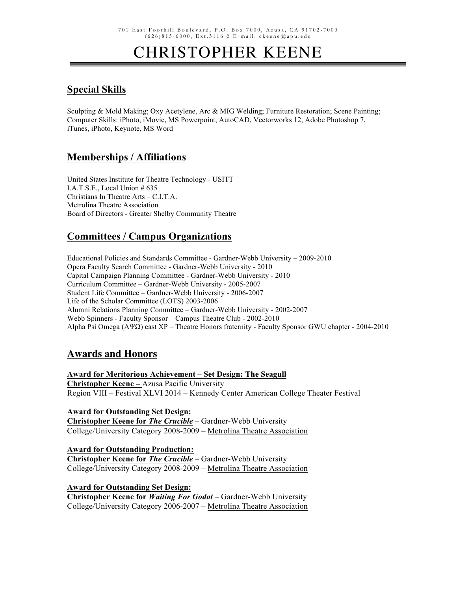### **Special Skills**

Sculpting & Mold Making; Oxy Acetylene, Arc & MIG Welding; Furniture Restoration; Scene Painting; Computer Skills: iPhoto, iMovie, MS Powerpoint, AutoCAD, Vectorworks 12, Adobe Photoshop 7, iTunes, iPhoto, Keynote, MS Word

### **Memberships / Affiliations**

United States Institute for Theatre Technology - USITT I.A.T.S.E., Local Union # 635 Christians In Theatre Arts – C.I.T.A. Metrolina Theatre Association Board of Directors - Greater Shelby Community Theatre

### **Committees / Campus Organizations**

Educational Policies and Standards Committee - Gardner-Webb University – 2009-2010 Opera Faculty Search Committee - Gardner-Webb University - 2010 Capital Campaign Planning Committee - Gardner-Webb University - 2010 Curriculum Committee – Gardner-Webb University - 2005-2007 Student Life Committee – Gardner-Webb University - 2006-2007 Life of the Scholar Committee (LOTS) 2003-2006 Alumni Relations Planning Committee – Gardner-Webb University - 2002-2007 Webb Spinners - Faculty Sponsor – Campus Theatre Club - 2002-2010 Alpha Psi Omega (ΑΨΩ) cast ΧΡ – Theatre Honors fraternity - Faculty Sponsor GWU chapter - 2004-2010

### **Awards and Honors**

**Award for Meritorious Achievement – Set Design: The Seagull Christopher Keene –** Azusa Pacific University Region VIII – Festival XLVI 2014 – Kennedy Center American College Theater Festival

#### **Award for Outstanding Set Design: Christopher Keene for** *The Crucible* – Gardner-Webb University

College/University Category 2008-2009 – Metrolina Theatre Association

**Award for Outstanding Production: Christopher Keene for** *The Crucible* – Gardner-Webb University College/University Category 2008-2009 – Metrolina Theatre Association

**Award for Outstanding Set Design: Christopher Keene for** *Waiting For Godot* – Gardner-Webb University College/University Category 2006-2007 – Metrolina Theatre Association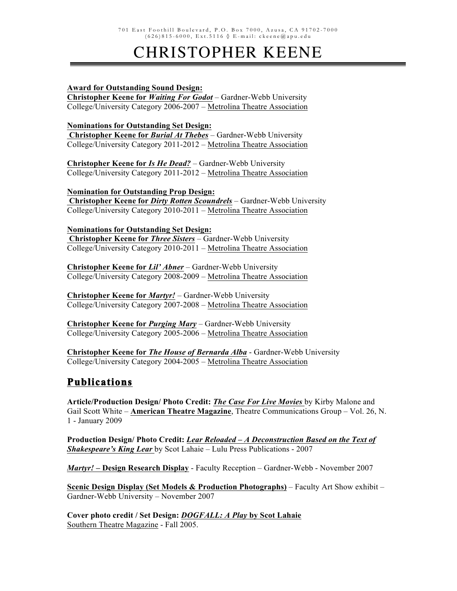#### **Award for Outstanding Sound Design:**

**Christopher Keene for** *Waiting For Godot* – Gardner-Webb University College/University Category 2006-2007 – Metrolina Theatre Association

**Nominations for Outstanding Set Design:**

**Christopher Keene for** *Burial At Thebes* – Gardner-Webb University College/University Category 2011-2012 – Metrolina Theatre Association

**Christopher Keene for** *Is He Dead?* – Gardner-Webb University College/University Category 2011-2012 – Metrolina Theatre Association

**Nomination for Outstanding Prop Design:**

**Christopher Keene for** *Dirty Rotten Scoundrels* – Gardner-Webb University College/University Category 2010-2011 – Metrolina Theatre Association

**Nominations for Outstanding Set Design:**

**Christopher Keene for** *Three Sisters* – Gardner-Webb University College/University Category 2010-2011 – Metrolina Theatre Association

**Christopher Keene for** *Lil' Abner* – Gardner-Webb University College/University Category 2008-2009 – Metrolina Theatre Association

**Christopher Keene for** *Martyr!* – Gardner-Webb University College/University Category 2007-2008 – Metrolina Theatre Association

**Christopher Keene for** *Purging Mary* – Gardner-Webb University College/University Category 2005-2006 – Metrolina Theatre Association

**Christopher Keene for** *The House of Bernarda Alba* - Gardner-Webb University College/University Category 2004-2005 – Metrolina Theatre Association

### **Publications**

**Article/Production Design/ Photo Credit:** *The Case For Live Movies* by Kirby Malone and Gail Scott White – **American Theatre Magazine**, Theatre Communications Group – Vol. 26, N. 1 - January 2009

**Production Design/ Photo Credit:** *Lear Reloaded – A Deconstruction Based on the Text of Shakespeare's King Lear* by Scot Lahaie – Lulu Press Publications - 2007

*Martyr!* **– Design Research Display** - Faculty Reception – Gardner-Webb - November 2007

**Scenic Design Display (Set Models & Production Photographs)** – Faculty Art Show exhibit – Gardner-Webb University – November 2007

**Cover photo credit / Set Design:** *DOGFALL: A Play* **by Scot Lahaie** Southern Theatre Magazine - Fall 2005.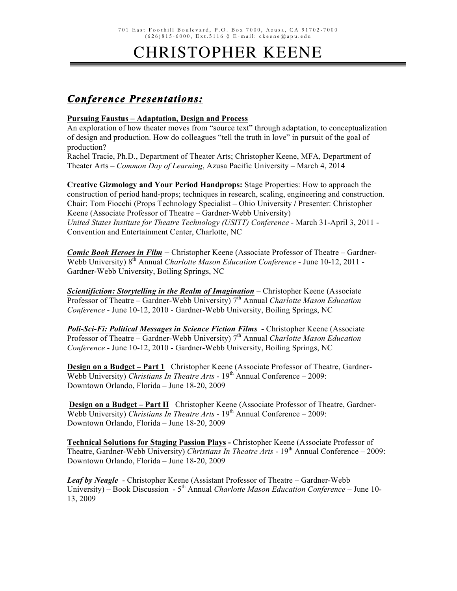### *Conference Presentations:*

#### **Pursuing Faustus – Adaptation, Design and Process**

An exploration of how theater moves from "source text" through adaptation, to conceptualization of design and production. How do colleagues "tell the truth in love" in pursuit of the goal of production?

Rachel Tracie, Ph.D., Department of Theater Arts; Christopher Keene, MFA, Department of Theater Arts – *Common Day of Learning*, Azusa Pacific University – March 4, 2014

**Creative Gizmology and Your Period Handprops:** Stage Properties: How to approach the construction of period hand-props; techniques in research, scaling, engineering and construction. Chair: Tom Fiocchi (Props Technology Specialist – Ohio University **/** Presenter: Christopher Keene (Associate Professor of Theatre – Gardner-Webb University) *United States Institute for Theatre Technology (USITT) Conference -* March 31-April 3, 2011 - Convention and Entertainment Center, Charlotte, NC

*Comic Book Heroes in Film* – Christopher Keene (Associate Professor of Theatre – Gardner-Webb University) 8th Annual *Charlotte Mason Education Conference* - June 10-12, 2011 - Gardner-Webb University, Boiling Springs, NC

*Scientifiction: Storytelling in the Realm of Imagination* – Christopher Keene (Associate Professor of Theatre – Gardner-Webb University) 7<sup>th</sup> Annual *Charlotte Mason Education Conference* - June 10-12, 2010 - Gardner-Webb University, Boiling Springs, NC

*Poli-Sci-Fi: Political Messages in Science Fiction Films* **-** Christopher Keene (Associate Professor of Theatre – Gardner-Webb University) 7<sup>th</sup> Annual *Charlotte Mason Education Conference* - June 10-12, 2010 - Gardner-Webb University, Boiling Springs, NC

**Design on a Budget – Part 1** Christopher Keene (Associate Professor of Theatre, Gardner-Webb University) *Christians In Theatre Arts* - 19<sup>th</sup> Annual Conference – 2009: Downtown Orlando, Florida – June 18-20, 2009

**Design on a Budget – Part II** Christopher Keene (Associate Professor of Theatre, Gardner-Webb University) *Christians In Theatre Arts* - 19<sup>th</sup> Annual Conference – 2009: Downtown Orlando, Florida – June 18-20, 2009

**Technical Solutions for Staging Passion Plays -** Christopher Keene (Associate Professor of Theatre, Gardner-Webb University) *Christians In Theatre Arts* - 19<sup>th</sup> Annual Conference – 2009: Downtown Orlando, Florida – June 18-20, 2009

*Leaf by Neagle* - Christopher Keene (Assistant Professor of Theatre – Gardner-Webb University) – Book Discussion - 5th Annual *Charlotte Mason Education Conference* – June 10- 13, 2009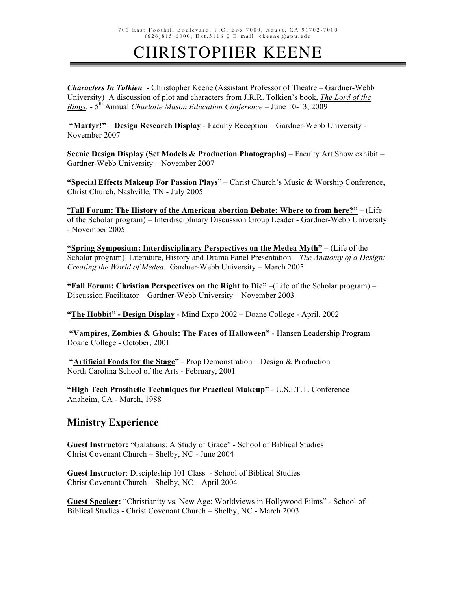*Characters In Tolkien* - Christopher Keene (Assistant Professor of Theatre – Gardner-Webb University) A discussion of plot and characters from J.R.R. Tolkien's book, *The Lord of the Rings*. - 5th Annual *Charlotte Mason Education Conference* – June 10-13, 2009

**"Martyr!" – Design Research Display** - Faculty Reception – Gardner-Webb University - November 2007

**Scenic Design Display (Set Models & Production Photographs)** – Faculty Art Show exhibit – Gardner-Webb University – November 2007

**"Special Effects Makeup For Passion Plays**" – Christ Church's Music & Worship Conference, Christ Church, Nashville, TN - July 2005

"**Fall Forum: The History of the American abortion Debate: Where to from here?"** – (Life of the Scholar program) – Interdisciplinary Discussion Group Leader - Gardner-Webb University - November 2005

**"Spring Symposium: Interdisciplinary Perspectives on the Medea Myth"** – (Life of the Scholar program) Literature, History and Drama Panel Presentation – *The Anatomy of a Design: Creating the World of Medea.* Gardner-Webb University – March 2005

**"Fall Forum: Christian Perspectives on the Right to Die"** –(Life of the Scholar program) – Discussion Facilitator – Gardner-Webb University – November 2003

**"The Hobbit" - Design Display** - Mind Expo 2002 – Doane College - April, 2002

**"Vampires, Zombies & Ghouls: The Faces of Halloween"** - Hansen Leadership Program Doane College - October, 2001

**"Artificial Foods for the Stage"** - Prop Demonstration – Design & Production North Carolina School of the Arts - February, 2001

**"High Tech Prosthetic Techniques for Practical Makeup"** - U.S.I.T.T. Conference – Anaheim, CA - March, 1988

### **Ministry Experience**

**Guest Instructor:** "Galatians: A Study of Grace" - School of Biblical Studies Christ Covenant Church – Shelby, NC - June 2004

**Guest Instructor**: Discipleship 101 Class - School of Biblical Studies Christ Covenant Church – Shelby, NC – April 2004

**Guest Speaker:** "Christianity vs. New Age: Worldviews in Hollywood Films" - School of Biblical Studies - Christ Covenant Church – Shelby, NC - March 2003